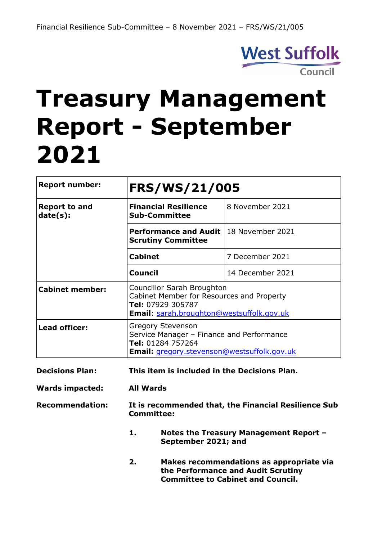

# **Treasury Management Report - September 2021**

| <b>Report number:</b>            | <b>FRS/WS/21/005</b>                                                                                                                             |                                                                                          |  |  |  |
|----------------------------------|--------------------------------------------------------------------------------------------------------------------------------------------------|------------------------------------------------------------------------------------------|--|--|--|
| <b>Report to and</b><br>date(s): | <b>Financial Resilience</b><br><b>Sub-Committee</b>                                                                                              | 8 November 2021                                                                          |  |  |  |
|                                  | <b>Performance and Audit</b><br><b>Scrutiny Committee</b>                                                                                        | 18 November 2021                                                                         |  |  |  |
|                                  | <b>Cabinet</b>                                                                                                                                   | 7 December 2021                                                                          |  |  |  |
|                                  | <b>Council</b>                                                                                                                                   | 14 December 2021                                                                         |  |  |  |
| <b>Cabinet member:</b>           | <b>Councillor Sarah Broughton</b><br>Cabinet Member for Resources and Property<br>Tel: 07929 305787<br>Email: sarah.broughton@westsuffolk.gov.uk |                                                                                          |  |  |  |
| <b>Lead officer:</b>             | <b>Gregory Stevenson</b><br>Tel: 01284 757264                                                                                                    | Service Manager - Finance and Performance<br>Email: gregory.stevenson@westsuffolk.gov.uk |  |  |  |
| <b>Decisions Plan:</b>           | This item is included in the Decisions Plan.                                                                                                     |                                                                                          |  |  |  |
| <b>Wards impacted:</b>           | <b>All Wards</b>                                                                                                                                 |                                                                                          |  |  |  |
| <b>Recommendation:</b>           | It is recommended that, the Financial Resilience Sub<br><b>Committee:</b>                                                                        |                                                                                          |  |  |  |
|                                  | 1.<br>September 2021; and                                                                                                                        | Notes the Treasury Management Report -                                                   |  |  |  |
|                                  |                                                                                                                                                  |                                                                                          |  |  |  |

**2. Makes recommendations as appropriate via the Performance and Audit Scrutiny Committee to Cabinet and Council.**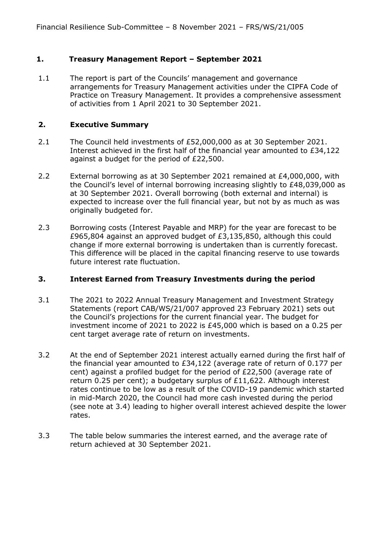## **1. Treasury Management Report – September 2021**

1.1 The report is part of the Councils' management and governance arrangements for Treasury Management activities under the CIPFA Code of Practice on Treasury Management. It provides a comprehensive assessment of activities from 1 April 2021 to 30 September 2021.

#### **2. Executive Summary**

- 2.1 The Council held investments of £52,000,000 as at 30 September 2021. Interest achieved in the first half of the financial year amounted to £34,122 against a budget for the period of £22,500.
- 2.2 External borrowing as at 30 September 2021 remained at £4,000,000, with the Council's level of internal borrowing increasing slightly to £48,039,000 as at 30 September 2021. Overall borrowing (both external and internal) is expected to increase over the full financial year, but not by as much as was originally budgeted for.
- 2.3 Borrowing costs (Interest Payable and MRP) for the year are forecast to be £965,804 against an approved budget of £3,135,850, although this could change if more external borrowing is undertaken than is currently forecast. This difference will be placed in the capital financing reserve to use towards future interest rate fluctuation.

#### **3. Interest Earned from Treasury Investments during the period**

- 3.1 The 2021 to 2022 Annual Treasury Management and Investment Strategy Statements (report CAB/WS/21/007 approved 23 February 2021) sets out the Council's projections for the current financial year. The budget for investment income of 2021 to 2022 is £45,000 which is based on a 0.25 per cent target average rate of return on investments.
- 3.2 At the end of September 2021 interest actually earned during the first half of the financial year amounted to £34,122 (average rate of return of 0.177 per cent) against a profiled budget for the period of £22,500 (average rate of return 0.25 per cent); a budgetary surplus of £11,622. Although interest rates continue to be low as a result of the COVID-19 pandemic which started in mid-March 2020, the Council had more cash invested during the period (see note at 3.4) leading to higher overall interest achieved despite the lower rates.
- 3.3 The table below summaries the interest earned, and the average rate of return achieved at 30 September 2021.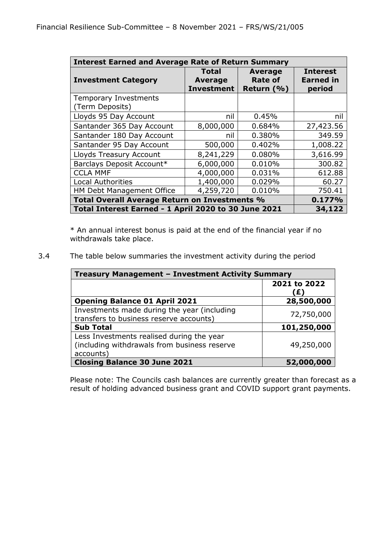| <b>Interest Earned and Average Rate of Return Summary</b> |                                                     |                                                |                                               |  |  |  |  |
|-----------------------------------------------------------|-----------------------------------------------------|------------------------------------------------|-----------------------------------------------|--|--|--|--|
| <b>Investment Category</b>                                | <b>Total</b><br><b>Average</b><br><b>Investment</b> | <b>Average</b><br><b>Rate of</b><br>Return (%) | <b>Interest</b><br><b>Earned in</b><br>period |  |  |  |  |
| <b>Temporary Investments</b><br>(Term Deposits)           |                                                     |                                                |                                               |  |  |  |  |
| Lloyds 95 Day Account                                     | nil                                                 | 0.45%                                          | nil                                           |  |  |  |  |
| Santander 365 Day Account                                 | 8,000,000                                           | 0.684%                                         | 27,423.56                                     |  |  |  |  |
| Santander 180 Day Account                                 | nil                                                 | 0.380%                                         | 349.59                                        |  |  |  |  |
| Santander 95 Day Account                                  | 500,000                                             | 0.402%                                         | 1,008.22                                      |  |  |  |  |
| Lloyds Treasury Account                                   | 8,241,229                                           | 0.080%                                         | 3,616.99                                      |  |  |  |  |
| Barclays Deposit Account*                                 | 6,000,000                                           | 0.010%                                         | 300.82                                        |  |  |  |  |
| <b>CCLA MMF</b>                                           | 4,000,000                                           | 0.031%                                         | 612.88                                        |  |  |  |  |
| <b>Local Authorities</b>                                  | 1,400,000                                           | 0.029%                                         | 60.27                                         |  |  |  |  |
| HM Debt Management Office                                 | 4,259,720                                           | 0.010%                                         | 750.41                                        |  |  |  |  |
| Total Overall Average Return on Investments %             |                                                     | 0.177%                                         |                                               |  |  |  |  |
| Total Interest Earned - 1 April 2020 to 30 June 2021      |                                                     |                                                | 34,122                                        |  |  |  |  |

\* An annual interest bonus is paid at the end of the financial year if no withdrawals take place.

3.4 The table below summaries the investment activity during the period

| Treasury Management - Investment Activity Summary                                                      |                    |  |  |  |
|--------------------------------------------------------------------------------------------------------|--------------------|--|--|--|
|                                                                                                        | 2021 to 2022<br>E) |  |  |  |
| <b>Opening Balance 01 April 2021</b>                                                                   | 28,500,000         |  |  |  |
| Investments made during the year (including<br>transfers to business reserve accounts)                 | 72,750,000         |  |  |  |
| <b>Sub Total</b>                                                                                       | 101,250,000        |  |  |  |
| Less Investments realised during the year<br>(including withdrawals from business reserve<br>accounts) | 49,250,000         |  |  |  |
| <b>Closing Balance 30 June 2021</b>                                                                    | 52,000,000         |  |  |  |

Please note: The Councils cash balances are currently greater than forecast as a result of holding advanced business grant and COVID support grant payments.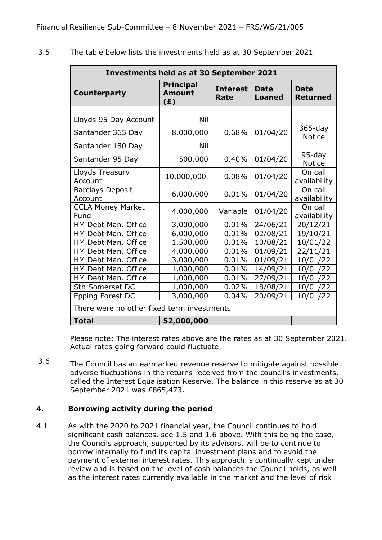| <b>Investments held as at 30 September 2021</b> |                                          |                         |                              |                                |  |  |  |
|-------------------------------------------------|------------------------------------------|-------------------------|------------------------------|--------------------------------|--|--|--|
| Counterparty                                    | <b>Principal</b><br><b>Amount</b><br>(E) | <b>Interest</b><br>Rate | <b>Date</b><br><b>Loaned</b> | <b>Date</b><br><b>Returned</b> |  |  |  |
|                                                 |                                          |                         |                              |                                |  |  |  |
| Lloyds 95 Day Account                           | Nil                                      |                         |                              |                                |  |  |  |
| Santander 365 Day                               | 8,000,000                                | 0.68%                   | 01/04/20                     | $365 - day$<br><b>Notice</b>   |  |  |  |
| Santander 180 Day                               | Nil                                      |                         |                              |                                |  |  |  |
| Santander 95 Day                                | 500,000                                  | 0.40%                   | 01/04/20                     | 95-day<br><b>Notice</b>        |  |  |  |
| Lloyds Treasury<br>Account                      | 10,000,000                               | 0.08%                   | 01/04/20                     | On call<br>availability        |  |  |  |
| <b>Barclays Deposit</b><br>Account              | 6,000,000                                | 0.01%                   | 01/04/20                     | On call<br>availability        |  |  |  |
| <b>CCLA Money Market</b><br>Fund                | 4,000,000                                | Variable                | 01/04/20                     | On call<br>availability        |  |  |  |
| HM Debt Man. Office                             | 3,000,000                                | 0.01%                   | 24/06/21                     | 20/12/21                       |  |  |  |
| HM Debt Man. Office                             | 6,000,000                                | 0.01%                   | 02/08/21                     | 19/10/21                       |  |  |  |
| HM Debt Man. Office                             | 1,500,000                                | 0.01%                   | 10/08/21                     | 10/01/22                       |  |  |  |
| HM Debt Man. Office                             | 4,000,000                                | 0.01%                   | 01/09/21                     | 22/11/21                       |  |  |  |
| HM Debt Man. Office                             | 3,000,000                                | 0.01%                   | 01/09/21                     | 10/01/22                       |  |  |  |
| HM Debt Man. Office                             | 1,000,000                                | 0.01%                   | 14/09/21                     | 10/01/22                       |  |  |  |
| HM Debt Man. Office                             | 1,000,000                                | 0.01%                   | 27/09/21                     | 10/01/22                       |  |  |  |
| Sth Somerset DC                                 | 1,000,000                                | 0.02%                   | 18/08/21                     | 10/01/22                       |  |  |  |
| Epping Forest DC                                | 3,000,000                                | 0.04%                   | 20/09/21                     | 10/01/22                       |  |  |  |
| There were no other fixed term investments      |                                          |                         |                              |                                |  |  |  |
| <b>Total</b>                                    | 52,000,000                               |                         |                              |                                |  |  |  |

3.5 The table below lists the investments held as at 30 September 2021

> Please note: The interest rates above are the rates as at 30 September 2021. Actual rates going forward could fluctuate.

3.6 The Council has an earmarked revenue reserve to mitigate against possible adverse fluctuations in the returns received from the council's investments, called the Interest Equalisation Reserve. The balance in this reserve as at 30 September 2021 was £865,473.

# **4. Borrowing activity during the period**

4.1 As with the 2020 to 2021 financial year, the Council continues to hold significant cash balances, see 1.5 and 1.6 above. With this being the case, the Councils approach, supported by its advisors, will be to continue to borrow internally to fund its capital investment plans and to avoid the payment of external interest rates. This approach is continually kept under review and is based on the level of cash balances the Council holds, as well as the interest rates currently available in the market and the level of risk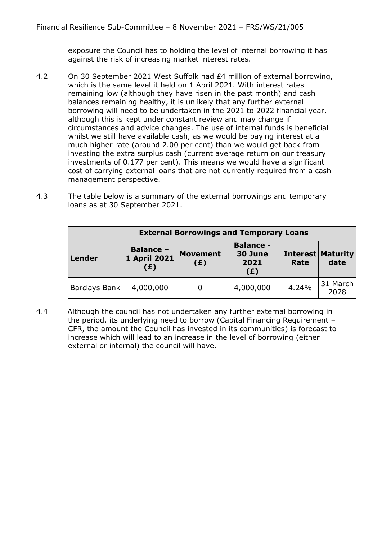exposure the Council has to holding the level of internal borrowing it has against the risk of increasing market interest rates.

- 4.2 On 30 September 2021 West Suffolk had £4 million of external borrowing, which is the same level it held on 1 April 2021. With interest rates remaining low (although they have risen in the past month) and cash balances remaining healthy, it is unlikely that any further external borrowing will need to be undertaken in the 2021 to 2022 financial year, although this is kept under constant review and may change if circumstances and advice changes. The use of internal funds is beneficial whilst we still have available cash, as we would be paying interest at a much higher rate (around 2.00 per cent) than we would get back from investing the extra surplus cash (current average return on our treasury investments of 0.177 per cent). This means we would have a significant cost of carrying external loans that are not currently required from a cash management perspective.
- 4.3 The table below is a summary of the external borrowings and temporary loans as at 30 September 2021.

| <b>External Borrowings and Temporary Loans</b>           |           |                        |                                            |       |                                  |  |  |
|----------------------------------------------------------|-----------|------------------------|--------------------------------------------|-------|----------------------------------|--|--|
| <b>Balance -</b><br>1 April 2021<br><b>Lender</b><br>(£) |           | <b>Movement</b><br>(E) | <b>Balance -</b><br>30 June<br>2021<br>(E) | Rate  | <b>Interest Maturity</b><br>date |  |  |
| Barclays Bank                                            | 4,000,000 | 0                      | 4,000,000                                  | 4.24% | 31 March<br>2078                 |  |  |

4.4 Although the council has not undertaken any further external borrowing in the period, its underlying need to borrow (Capital Financing Requirement – CFR, the amount the Council has invested in its communities) is forecast to increase which will lead to an increase in the level of borrowing (either external or internal) the council will have.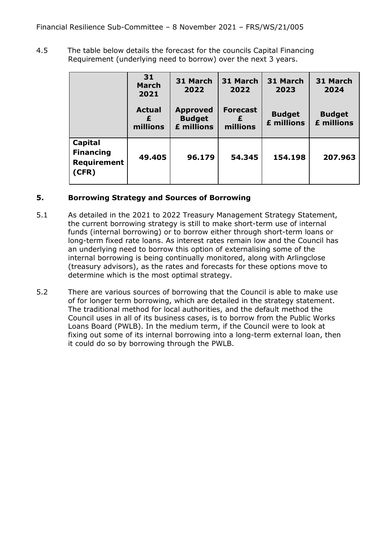4.5 The table below details the forecast for the councils Capital Financing Requirement (underlying need to borrow) over the next 3 years.

|                                                     | 31<br><b>March</b><br>2021     | 31 March<br>2022                               | 31 March<br>2022            | 31 March<br>2023            | 31 March<br>2024            |
|-----------------------------------------------------|--------------------------------|------------------------------------------------|-----------------------------|-----------------------------|-----------------------------|
|                                                     | <b>Actual</b><br>£<br>millions | <b>Approved</b><br><b>Budget</b><br>£ millions | <b>Forecast</b><br>millions | <b>Budget</b><br>£ millions | <b>Budget</b><br>£ millions |
| Capital<br><b>Financing</b><br>Requirement<br>(CFR) | 49.405                         | 96.179                                         | 54.345                      | 154.198                     | 207.963                     |

## **5. Borrowing Strategy and Sources of Borrowing**

- 5.1 As detailed in the 2021 to 2022 Treasury Management Strategy Statement, the current borrowing strategy is still to make short-term use of internal funds (internal borrowing) or to borrow either through short-term loans or long-term fixed rate loans. As interest rates remain low and the Council has an underlying need to borrow this option of externalising some of the internal borrowing is being continually monitored, along with Arlingclose (treasury advisors), as the rates and forecasts for these options move to determine which is the most optimal strategy.
- 5.2 There are various sources of borrowing that the Council is able to make use of for longer term borrowing, which are detailed in the strategy statement. The traditional method for local authorities, and the default method the Council uses in all of its business cases, is to borrow from the Public Works Loans Board (PWLB). In the medium term, if the Council were to look at fixing out some of its internal borrowing into a long-term external loan, then it could do so by borrowing through the PWLB.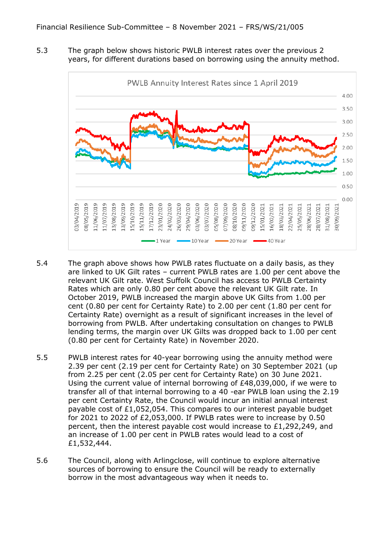5.3 The graph below shows historic PWLB interest rates over the previous 2 years, for different durations based on borrowing using the annuity method.



- 5.4 The graph above shows how PWLB rates fluctuate on a daily basis, as they are linked to UK Gilt rates – current PWLB rates are 1.00 per cent above the relevant UK Gilt rate. West Suffolk Council has access to PWLB Certainty Rates which are only 0.80 per cent above the relevant UK Gilt rate. In October 2019, PWLB increased the margin above UK Gilts from 1.00 per cent (0.80 per cent for Certainty Rate) to 2.00 per cent (1.80 per cent for Certainty Rate) overnight as a result of significant increases in the level of borrowing from PWLB. After undertaking consultation on changes to PWLB lending terms, the margin over UK Gilts was dropped back to 1.00 per cent (0.80 per cent for Certainty Rate) in November 2020.
- 5.5 PWLB interest rates for 40-year borrowing using the annuity method were 2.39 per cent (2.19 per cent for Certainty Rate) on 30 September 2021 (up from 2.25 per cent (2.05 per cent for Certainty Rate) on 30 June 2021. Using the current value of internal borrowing of  $E48.039.000$ , if we were to transfer all of that internal borrowing to a 40 -ear PWLB loan using the 2.19 per cent Certainty Rate, the Council would incur an initial annual interest payable cost of £1,052,054. This compares to our interest payable budget for 2021 to 2022 of £2,053,000. If PWLB rates were to increase by 0.50 percent, then the interest payable cost would increase to £1,292,249, and an increase of 1.00 per cent in PWLB rates would lead to a cost of £1,532,444.
- 5.6 The Council, along with Arlingclose, will continue to explore alternative sources of borrowing to ensure the Council will be ready to externally borrow in the most advantageous way when it needs to.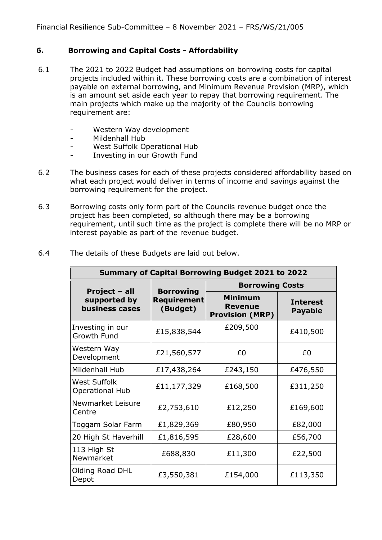# **6. Borrowing and Capital Costs - Affordability**

- 6.1 The 2021 to 2022 Budget had assumptions on borrowing costs for capital projects included within it. These borrowing costs are a combination of interest payable on external borrowing, and Minimum Revenue Provision (MRP), which is an amount set aside each year to repay that borrowing requirement. The main projects which make up the majority of the Councils borrowing requirement are:
	- Western Way development
	- Mildenhall Hub
	- West Suffolk Operational Hub
	- Investing in our Growth Fund
- 6.2 The business cases for each of these projects considered affordability based on what each project would deliver in terms of income and savings against the borrowing requirement for the project.
- 6.3 Borrowing costs only form part of the Councils revenue budget once the project has been completed, so although there may be a borrowing requirement, until such time as the project is complete there will be no MRP or interest payable as part of the revenue budget.

| <b>Summary of Capital Borrowing Budget 2021 to 2022</b> |                                                    |                                                            |                                   |  |  |  |  |
|---------------------------------------------------------|----------------------------------------------------|------------------------------------------------------------|-----------------------------------|--|--|--|--|
|                                                         |                                                    | <b>Borrowing Costs</b>                                     |                                   |  |  |  |  |
| Project - all<br>supported by<br>business cases         | <b>Borrowing</b><br><b>Requirement</b><br>(Budget) | <b>Minimum</b><br><b>Revenue</b><br><b>Provision (MRP)</b> | <b>Interest</b><br><b>Payable</b> |  |  |  |  |
| Investing in our<br><b>Growth Fund</b>                  | £15,838,544                                        | £209,500                                                   | £410,500                          |  |  |  |  |
| Western Way<br>Development                              | £21,560,577                                        | £0                                                         | £0                                |  |  |  |  |
| Mildenhall Hub                                          | £17,438,264                                        | £243,150                                                   | £476,550                          |  |  |  |  |
| <b>West Suffolk</b><br><b>Operational Hub</b>           | £11,177,329                                        | £168,500                                                   | £311,250                          |  |  |  |  |
| Newmarket Leisure<br>Centre                             | £2,753,610                                         | £12,250                                                    | £169,600                          |  |  |  |  |
| Toggam Solar Farm                                       | £1,829,369                                         | £80,950                                                    | £82,000                           |  |  |  |  |
| 20 High St Haverhill                                    | £1,816,595                                         | £28,600                                                    | £56,700                           |  |  |  |  |
| 113 High St<br>Newmarket                                | £688,830                                           | £11,300                                                    | £22,500                           |  |  |  |  |
| Olding Road DHL<br>Depot                                | £3,550,381                                         | £154,000                                                   | £113,350                          |  |  |  |  |

6.4 The details of these Budgets are laid out below.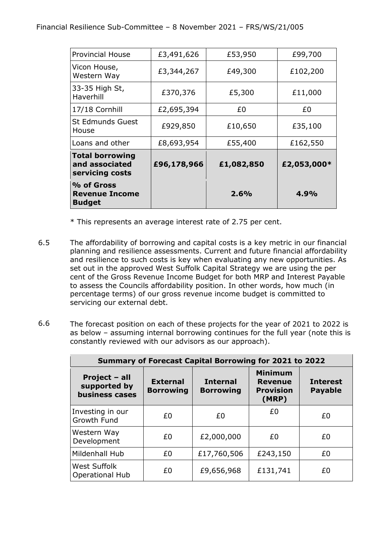| % of Gross<br><b>Revenue Income</b><br><b>Budget</b>        |             | 2.6%       | 4.9%        |
|-------------------------------------------------------------|-------------|------------|-------------|
| <b>Total borrowing</b><br>and associated<br>servicing costs | £96,178,966 | £1,082,850 | £2,053,000* |
| Loans and other                                             | £8,693,954  | £55,400    | £162,550    |
| <b>St Edmunds Guest</b><br>House                            | £929,850    | £10,650    | £35,100     |
| 17/18 Cornhill                                              | £2,695,394  | £0         | £0          |
| 33-35 High St,<br>Haverhill                                 | £370,376    | £5,300     | £11,000     |
| Vicon House,<br>Western Way                                 | £3,344,267  | £49,300    | £102,200    |
| <b>Provincial House</b>                                     | £3,491,626  | £53,950    | £99,700     |

\* This represents an average interest rate of 2.75 per cent.

- 6.5 The affordability of borrowing and capital costs is a key metric in our financial planning and resilience assessments. Current and future financial affordability and resilience to such costs is key when evaluating any new opportunities. As set out in the approved West Suffolk Capital Strategy we are using the per cent of the Gross Revenue Income Budget for both MRP and Interest Payable to assess the Councils affordability position. In other words, how much (in percentage terms) of our gross revenue income budget is committed to servicing our external debt.
- 6.6 The forecast position on each of these projects for the year of 2021 to 2022 is as below – assuming internal borrowing continues for the full year (note this is constantly reviewed with our advisors as our approach).

| <b>Summary of Forecast Capital Borrowing for 2021 to 2022</b> |                                     |                                     |                                                               |                                   |  |  |  |
|---------------------------------------------------------------|-------------------------------------|-------------------------------------|---------------------------------------------------------------|-----------------------------------|--|--|--|
| Project - all<br>supported by<br><b>business cases</b>        | <b>External</b><br><b>Borrowing</b> | <b>Internal</b><br><b>Borrowing</b> | <b>Minimum</b><br><b>Revenue</b><br><b>Provision</b><br>(MRP) | <b>Interest</b><br><b>Payable</b> |  |  |  |
| Investing in our<br><b>Growth Fund</b>                        | £0                                  | £0                                  | £0                                                            | £0                                |  |  |  |
| Western Way<br>Development                                    | £0                                  | £2,000,000                          | £0                                                            | £0                                |  |  |  |
| Mildenhall Hub                                                | £0                                  | £17,760,506                         | £243,150                                                      | £0                                |  |  |  |
| <b>West Suffolk</b><br><b>Operational Hub</b>                 | £0                                  | £9,656,968                          | £131,741                                                      | £0                                |  |  |  |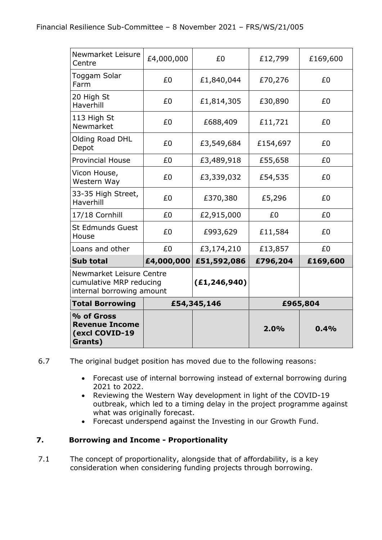| Newmarket Leisure<br>Centre                                                      | £4,000,000 | £0             | £12,799  | £169,600 |
|----------------------------------------------------------------------------------|------------|----------------|----------|----------|
| Toggam Solar<br>Farm                                                             | £0         | £1,840,044     | £70,276  | £0       |
| 20 High St<br>Haverhill                                                          | £0         | £1,814,305     | £30,890  | £0       |
| 113 High St<br>Newmarket                                                         | £0         | £688,409       | £11,721  | £0       |
| Olding Road DHL<br>Depot                                                         | £0         | £3,549,684     | £154,697 | £0       |
| <b>Provincial House</b>                                                          | £0         | £3,489,918     | £55,658  | £0       |
| Vicon House,<br>Western Way                                                      | £0         | £3,339,032     | £54,535  | £0       |
| 33-35 High Street,<br>Haverhill                                                  | £0         | £370,380       | £5,296   | £0       |
| 17/18 Cornhill                                                                   | £0         | £2,915,000     | £0       | £0       |
| <b>St Edmunds Guest</b><br>House                                                 | £0         | £993,629       | £11,584  | £0       |
| Loans and other                                                                  | £0         | £3,174,210     | £13,857  | £0       |
| <b>Sub total</b>                                                                 | £4,000,000 | £51,592,086    | £796,204 | £169,600 |
| Newmarket Leisure Centre<br>cumulative MRP reducing<br>internal borrowing amount |            | (E1, 246, 940) |          |          |
| <b>Total Borrowing</b>                                                           |            | £54,345,146    | £965,804 |          |
| % of Gross<br><b>Revenue Income</b><br>(excl COVID-19<br>Grants)                 |            |                | 2.0%     | 0.4%     |

6.7 The original budget position has moved due to the following reasons:

- Forecast use of internal borrowing instead of external borrowing during 2021 to 2022.
- Reviewing the Western Way development in light of the COVID-19 outbreak, which led to a timing delay in the project programme against what was originally forecast.
- Forecast underspend against the Investing in our Growth Fund.

# **7. Borrowing and Income - Proportionality**

7.1 The concept of proportionality, alongside that of affordability, is a key consideration when considering funding projects through borrowing.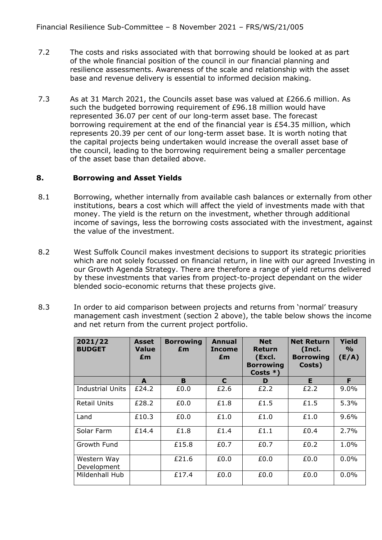- 7.2 The costs and risks associated with that borrowing should be looked at as part of the whole financial position of the council in our financial planning and resilience assessments. Awareness of the scale and relationship with the asset base and revenue delivery is essential to informed decision making.
- 7.3 As at 31 March 2021, the Councils asset base was valued at £266.6 million. As such the budgeted borrowing requirement of £96.18 million would have represented 36.07 per cent of our long-term asset base. The forecast borrowing requirement at the end of the financial year is £54.35 million, which represents 20.39 per cent of our long-term asset base. It is worth noting that the capital projects being undertaken would increase the overall asset base of the council, leading to the borrowing requirement being a smaller percentage of the asset base than detailed above.

## **8. Borrowing and Asset Yields**

- 8.1 Borrowing, whether internally from available cash balances or externally from other institutions, bears a cost which will affect the yield of investments made with that money. The yield is the return on the investment, whether through additional income of savings, less the borrowing costs associated with the investment, against the value of the investment.
- 8.2 West Suffolk Council makes investment decisions to support its strategic priorities which are not solely focussed on financial return, in line with our agreed Investing in our Growth Agenda Strategy. There are therefore a range of yield returns delivered by these investments that varies from project-to-project dependant on the wider blended socio-economic returns that these projects give.
- 8.3 In order to aid comparison between projects and returns from 'normal' treasury management cash investment (section 2 above), the table below shows the income and net return from the current project portfolio.

| 2021/22<br><b>BUDGET</b>   | <b>Asset</b><br><b>Value</b><br>£m | <b>Borrowing</b><br>£m | Annual<br><b>Income</b><br>£m | <b>Net</b><br><b>Return</b><br>(Excl.<br><b>Borrowing</b><br>Costs $*$ ) | <b>Net Return</b><br>(Incl.<br><b>Borrowing</b><br>Costs) | Yield<br>$\frac{0}{0}$<br>(E/A) |
|----------------------------|------------------------------------|------------------------|-------------------------------|--------------------------------------------------------------------------|-----------------------------------------------------------|---------------------------------|
|                            | A                                  | B.                     | C                             | D                                                                        | E                                                         | F.                              |
| <b>Industrial Units</b>    | £24.2                              | £0.0                   | £2.6                          | £2.2                                                                     | £2.2                                                      | 9.0%                            |
| Retail Units               | £28.2                              | £0.0                   | £1.8                          | £1.5                                                                     | £1.5                                                      | 5.3%                            |
| Land                       | £10.3                              | £0.0                   | £1.0                          | £1.0                                                                     | £1.0                                                      | 9.6%                            |
| Solar Farm                 | £14.4                              | £1.8                   | £1.4                          | £1.1                                                                     | £0.4                                                      | 2.7%                            |
| Growth Fund                |                                    | £15.8                  | £0.7                          | £0.7                                                                     | £0.2                                                      | 1.0%                            |
| Western Way<br>Development |                                    | £21.6                  | £0.0                          | £0.0                                                                     | £0.0                                                      | 0.0%                            |
| Mildenhall Hub             |                                    | £17.4                  | £0.0                          | £0.0                                                                     | £0.0                                                      | 0.0%                            |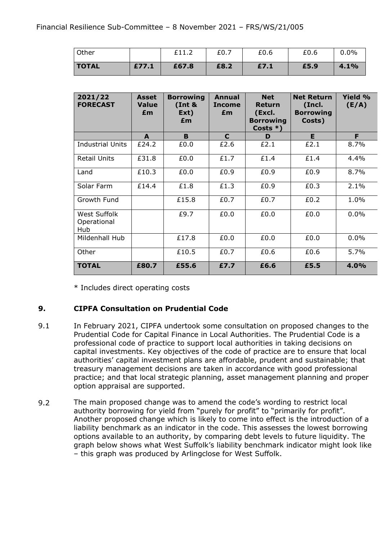| Other        |       | £11.2 | £0.7 | £0.6 | £0.6 | 0.0% |
|--------------|-------|-------|------|------|------|------|
| <b>TOTAL</b> | £77.1 | £67.8 | £8.2 | £7.1 | £5.9 | 4.1% |

| 2021/22<br><b>FORECAST</b>         | <b>Asset</b><br><b>Value</b><br>£m | <b>Borrowing</b><br>(int &<br>Ext)<br>£m | Annual<br><b>Income</b><br>£m | <b>Net</b><br>Return<br>(Excl.<br><b>Borrowing</b><br>Costs $*$ ) | <b>Net Return</b><br>(Incl.<br><b>Borrowing</b><br>Costs) | <b>Yield %</b><br>(E/A) |
|------------------------------------|------------------------------------|------------------------------------------|-------------------------------|-------------------------------------------------------------------|-----------------------------------------------------------|-------------------------|
|                                    | A                                  | B.                                       | $\mathbf{C}$                  | D                                                                 | E                                                         | F                       |
| Industrial Units                   | £24.2                              | £0.0                                     | £2.6                          | £2.1                                                              | £2.1                                                      | 8.7%                    |
| Retail Units                       | £31.8                              | £0.0                                     | £1.7                          | £1.4                                                              | £1.4                                                      | 4.4%                    |
| Land                               | £10.3                              | £0.0                                     | £0.9                          | £0.9                                                              | £0.9                                                      | 8.7%                    |
| Solar Farm                         | £14.4                              | £1.8                                     | £1.3                          | £0.9                                                              | £0.3                                                      | 2.1%                    |
| Growth Fund                        |                                    | £15.8                                    | £0.7                          | £0.7                                                              | £0.2                                                      | 1.0%                    |
| West Suffolk<br>Operational<br>Hub |                                    | £9.7                                     | £0.0                          | £0.0                                                              | £0.0                                                      | 0.0%                    |
| Mildenhall Hub                     |                                    | £17.8                                    | £0.0                          | £0.0                                                              | £0.0                                                      | 0.0%                    |
| Other                              |                                    | £10.5                                    | £0.7                          | £0.6                                                              | £0.6                                                      | 5.7%                    |
| <b>TOTAL</b>                       | £80.7                              | £55.6                                    | £7.7                          | £6.6                                                              | £5.5                                                      | 4.0%                    |

\* Includes direct operating costs

#### **9. CIPFA Consultation on Prudential Code**

- 9.1 In February 2021, CIPFA undertook some consultation on proposed changes to the Prudential Code for Capital Finance in Local Authorities. The Prudential Code is a professional code of practice to support local authorities in taking decisions on capital investments. Key objectives of the code of practice are to ensure that local authorities' capital investment plans are affordable, prudent and sustainable; that treasury management decisions are taken in accordance with good professional practice; and that local strategic planning, asset management planning and proper option appraisal are supported.
- 9.2 The main proposed change was to amend the code's wording to restrict local authority borrowing for yield from "purely for profit" to "primarily for profit". Another proposed change which is likely to come into effect is the introduction of a liability benchmark as an indicator in the code. This assesses the lowest borrowing options available to an authority, by comparing debt levels to future liquidity. The graph below shows what West Suffolk's liability benchmark indicator might look like – this graph was produced by Arlingclose for West Suffolk.